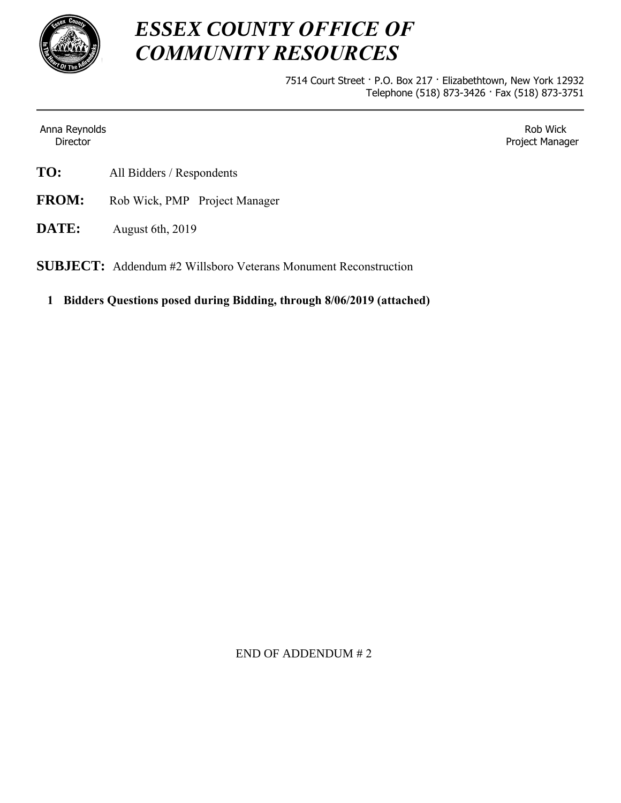

## *ESSEX COUNTY OFFICE OF COMMUNITY RESOURCES*

7514 Court Street · P.O. Box 217 · Elizabethtown, New York 12932 Telephone (518) 873-3426 · Fax (518) 873-3751

Anna Reynolds **Director** 

Rob Wick Project Manager

- **TO:** All Bidders / Respondents
- **FROM:** Rob Wick, PMP Project Manager
- **DATE:** August 6th, 2019

**SUBJECT:** Addendum #2 Willsboro Veterans Monument Reconstruction

**1. Bidders Questions posed during Bidding, through 8/06/2019 (attached)**

END OF ADDENDUM # 2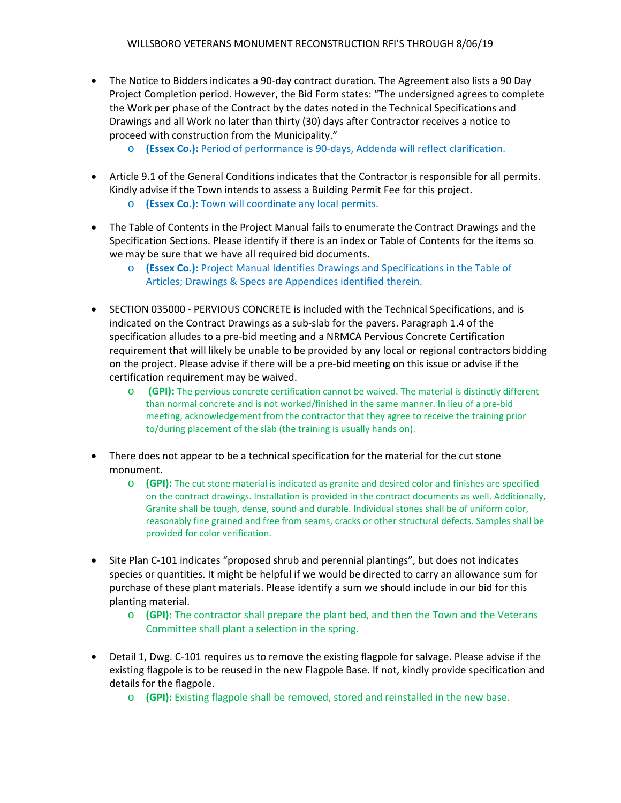- The Notice to Bidders indicates a 90‐day contract duration. The Agreement also lists a 90 Day Project Completion period. However, the Bid Form states: "The undersigned agrees to complete the Work per phase of the Contract by the dates noted in the Technical Specifications and Drawings and all Work no later than thirty (30) days after Contractor receives a notice to proceed with construction from the Municipality."
	- o **(Essex Co.):** Period of performance is 90‐days, Addenda will reflect clarification.
- Article 9.1 of the General Conditions indicates that the Contractor is responsible for all permits. Kindly advise if the Town intends to assess a Building Permit Fee for this project.
	- o **(Essex Co.):** Town will coordinate any local permits.
- The Table of Contents in the Project Manual fails to enumerate the Contract Drawings and the Specification Sections. Please identify if there is an index or Table of Contents for the items so we may be sure that we have all required bid documents.
	- o **(Essex Co.):** Project Manual Identifies Drawings and Specifications in the Table of Articles; Drawings & Specs are Appendices identified therein.
- SECTION 035000 ‐ PERVIOUS CONCRETE is included with the Technical Specifications, and is indicated on the Contract Drawings as a sub‐slab for the pavers. Paragraph 1.4 of the specification alludes to a pre‐bid meeting and a NRMCA Pervious Concrete Certification requirement that will likely be unable to be provided by any local or regional contractors bidding on the project. Please advise if there will be a pre‐bid meeting on this issue or advise if the certification requirement may be waived.
	- o  **(GPI):** The pervious concrete certification cannot be waived. The material is distinctly different than normal concrete and is not worked/finished in the same manner. In lieu of a pre‐bid meeting, acknowledgement from the contractor that they agree to receive the training prior to/during placement of the slab (the training is usually hands on).
- There does not appear to be a technical specification for the material for the cut stone monument.
	- o **(GPI):** The cut stone material is indicated as granite and desired color and finishes are specified on the contract drawings. Installation is provided in the contract documents as well. Additionally, Granite shall be tough, dense, sound and durable. Individual stones shall be of uniform color, reasonably fine grained and free from seams, cracks or other structural defects. Samples shall be provided for color verification.
- Site Plan C‐101 indicates "proposed shrub and perennial plantings", but does not indicates species or quantities. It might be helpful if we would be directed to carry an allowance sum for purchase of these plant materials. Please identify a sum we should include in our bid for this planting material.
	- o **(GPI): T**he contractor shall prepare the plant bed, and then the Town and the Veterans Committee shall plant a selection in the spring.
- Detail 1, Dwg. C-101 requires us to remove the existing flagpole for salvage. Please advise if the existing flagpole is to be reused in the new Flagpole Base. If not, kindly provide specification and details for the flagpole.
	- o **(GPI):** Existing flagpole shall be removed, stored and reinstalled in the new base.